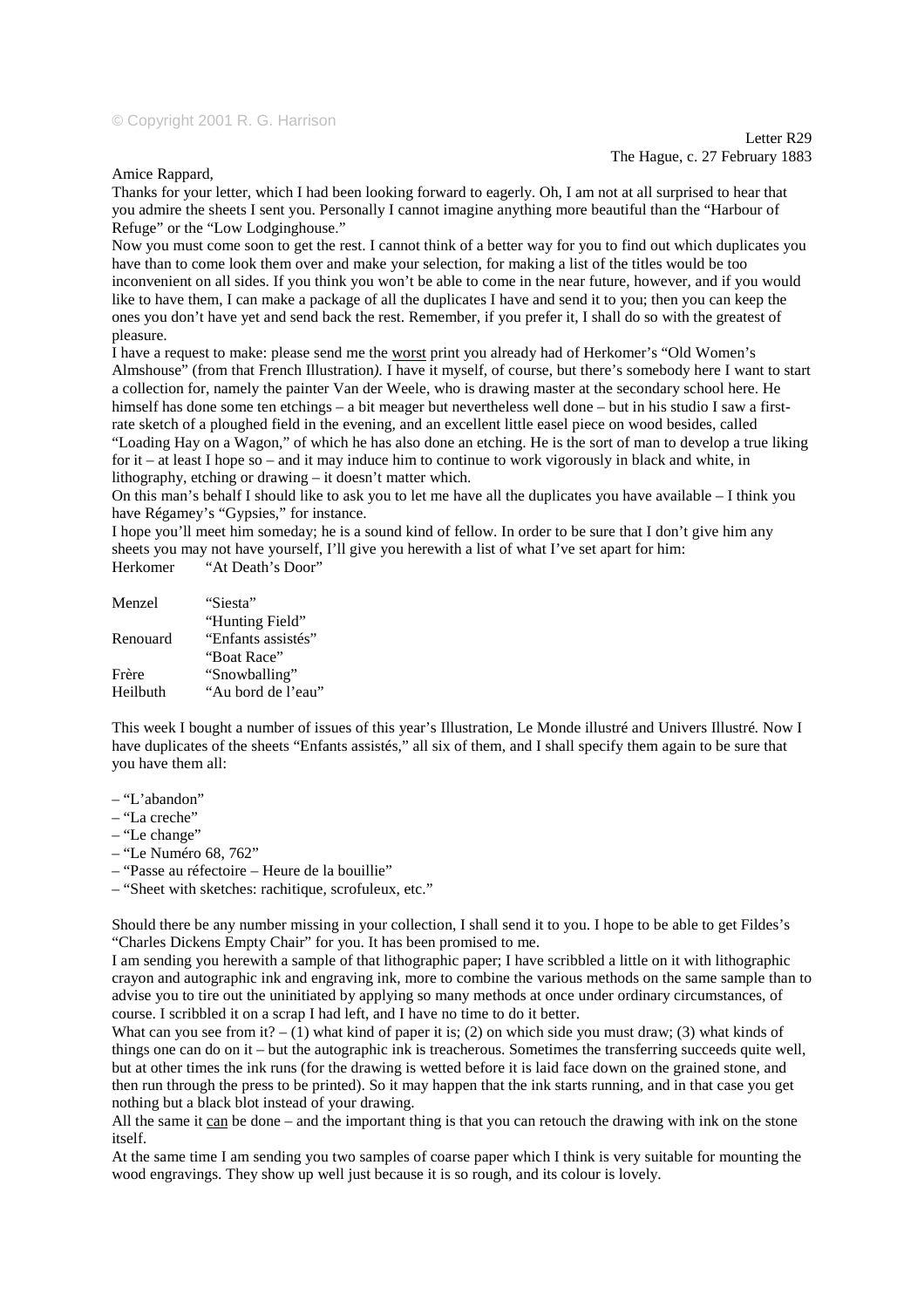## © Copyright 2001 R. G. Harrison

Letter R29 The Hague, c. 27 February 1883

Amice Rappard,

Thanks for your letter, which I had been looking forward to eagerly. Oh, I am not at all surprised to hear that you admire the sheets I sent you. Personally I cannot imagine anything more beautiful than the "Harbour of Refuge" or the "Low Lodginghouse."

Now you must come soon to get the rest. I cannot think of a better way for you to find out which duplicates you have than to come look them over and make your selection, for making a list of the titles would be too inconvenient on all sides. If you think you won't be able to come in the near future, however, and if you would like to have them, I can make a package of all the duplicates I have and send it to you; then you can keep the ones you don't have yet and send back the rest. Remember, if you prefer it, I shall do so with the greatest of pleasure.

I have a request to make: please send me the worst print you already had of Herkomer's "Old Women's Almshouse" (from that French Illustration*).* I have it myself, of course, but there's somebody here I want to start a collection for, namely the painter Van der Weele, who is drawing master at the secondary school here. He himself has done some ten etchings – a bit meager but nevertheless well done – but in his studio I saw a firstrate sketch of a ploughed field in the evening, and an excellent little easel piece on wood besides, called "Loading Hay on a Wagon," of which he has also done an etching. He is the sort of man to develop a true liking for it – at least I hope so – and it may induce him to continue to work vigorously in black and white, in lithography, etching or drawing – it doesn't matter which.

On this man's behalf I should like to ask you to let me have all the duplicates you have available – I think you have Régamey's "Gypsies," for instance.

I hope you'll meet him someday; he is a sound kind of fellow. In order to be sure that I don't give him any sheets you may not have yourself, I'll give you herewith a list of what I've set apart for him: Herkomer "At Death's Door"

| Menzel   | "Siesta"           |
|----------|--------------------|
|          | "Hunting Field"    |
| Renouard | "Enfants assistés" |
|          | "Boat Race"        |
| Frère    | "Snowballing"      |
| Heilbuth | "Au bord de l'eau" |

This week I bought a number of issues of this year's Illustration*,* Le Monde illustré and Univers Illustré*.* Now I have duplicates of the sheets "Enfants assistés," all six of them, and I shall specify them again to be sure that you have them all:

- "L'abandon"
- "La creche"
- "Le change"
- "Le Numéro 68, 762"
- "Passe au réfectoire Heure de la bouillie"
- "Sheet with sketches: rachitique, scrofuleux, etc."

Should there be any number missing in your collection, I shall send it to you. I hope to be able to get Fildes's "Charles Dickens Empty Chair" for you. It has been promised to me.

I am sending you herewith a sample of that lithographic paper; I have scribbled a little on it with lithographic crayon and autographic ink and engraving ink, more to combine the various methods on the same sample than to advise you to tire out the uninitiated by applying so many methods at once under ordinary circumstances, of course. I scribbled it on a scrap I had left, and I have no time to do it better.

What can you see from it? – (1) what kind of paper it is; (2) on which side you must draw; (3) what kinds of things one can do on it – but the autographic ink is treacherous. Sometimes the transferring succeeds quite well, but at other times the ink runs (for the drawing is wetted before it is laid face down on the grained stone, and then run through the press to be printed). So it may happen that the ink starts running, and in that case you get nothing but a black blot instead of your drawing.

All the same it can be done – and the important thing is that you can retouch the drawing with ink on the stone itself.

At the same time I am sending you two samples of coarse paper which I think is very suitable for mounting the wood engravings. They show up well just because it is so rough, and its colour is lovely.